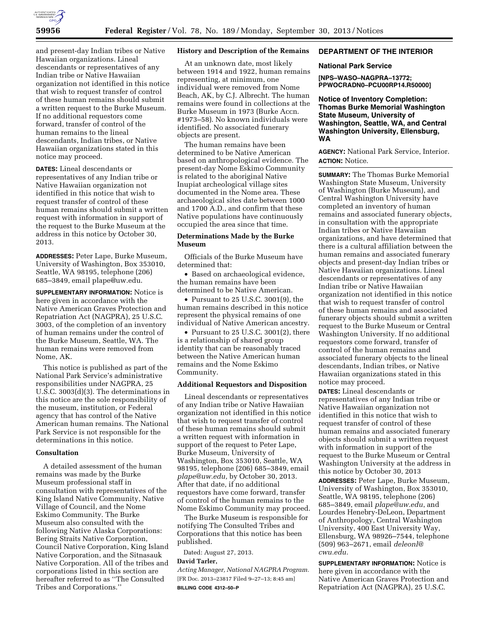

and present-day Indian tribes or Native Hawaiian organizations. Lineal descendants or representatives of any Indian tribe or Native Hawaiian organization not identified in this notice that wish to request transfer of control of these human remains should submit a written request to the Burke Museum. If no additional requestors come forward, transfer of control of the human remains to the lineal descendants, Indian tribes, or Native Hawaiian organizations stated in this notice may proceed.

**DATES:** Lineal descendants or representatives of any Indian tribe or Native Hawaiian organization not identified in this notice that wish to request transfer of control of these human remains should submit a written request with information in support of the request to the Burke Museum at the address in this notice by October 30, 2013.

**ADDRESSES:** Peter Lape, Burke Museum, University of Washington, Box 353010, Seattle, WA 98195, telephone (206) 685–3849, email [plape@uw.edu.](mailto:plape@uw.edu) 

**SUPPLEMENTARY INFORMATION:** Notice is here given in accordance with the Native American Graves Protection and Repatriation Act (NAGPRA), 25 U.S.C. 3003, of the completion of an inventory of human remains under the control of the Burke Museum, Seattle, WA. The human remains were removed from Nome, AK.

This notice is published as part of the National Park Service's administrative responsibilities under NAGPRA, 25 U.S.C. 3003(d)(3). The determinations in this notice are the sole responsibility of the museum, institution, or Federal agency that has control of the Native American human remains. The National Park Service is not responsible for the determinations in this notice.

### **Consultation**

A detailed assessment of the human remains was made by the Burke Museum professional staff in consultation with representatives of the King Island Native Community, Native Village of Council, and the Nome Eskimo Community. The Burke Museum also consulted with the following Native Alaska Corporations: Bering Straits Native Corporation, Council Native Corporation, King Island Native Corporation, and the Sitnasauk Native Corporation. All of the tribes and corporations listed in this section are hereafter referred to as ''The Consulted Tribes and Corporations.''

#### **History and Description of the Remains**

At an unknown date, most likely between 1914 and 1922, human remains representing, at minimum, one individual were removed from Nome Beach, AK, by C.J. Albrecht. The human remains were found in collections at the Burke Museum in 1973 (Burke Accn. #1973–58). No known individuals were identified. No associated funerary objects are present.

The human remains have been determined to be Native American based on anthropological evidence. The present-day Nome Eskimo Community is related to the aboriginal Native Inupiat archeological village sites documented in the Nome area. These archaeological sites date between 1000 and 1700 A.D., and confirm that these Native populations have continuously occupied the area since that time.

# **Determinations Made by the Burke Museum**

Officials of the Burke Museum have determined that:

• Based on archaeological evidence, the human remains have been determined to be Native American.

• Pursuant to 25 U.S.C. 3001(9), the human remains described in this notice represent the physical remains of one individual of Native American ancestry.

• Pursuant to 25 U.S.C. 3001(2), there is a relationship of shared group identity that can be reasonably traced between the Native American human remains and the Nome Eskimo Community.

## **Additional Requestors and Disposition**

Lineal descendants or representatives of any Indian tribe or Native Hawaiian organization not identified in this notice that wish to request transfer of control of these human remains should submit a written request with information in support of the request to Peter Lape, Burke Museum, University of Washington, Box 353010, Seattle, WA 98195, telephone (206) 685–3849, email *[plape@uw.edu,](mailto:plape@uw.edu)* by October 30, 2013. After that date, if no additional requestors have come forward, transfer of control of the human remains to the Nome Eskimo Community may proceed.

The Burke Museum is responsible for notifying The Consulted Tribes and Corporations that this notice has been published.

Dated: August 27, 2013.

# **David Tarler,**

*Acting Manager, National NAGPRA Program.*  [FR Doc. 2013–23817 Filed 9–27–13; 8:45 am] **BILLING CODE 4312–50–P** 

# **DEPARTMENT OF THE INTERIOR**

#### **National Park Service**

**[NPS–WASO–NAGPRA–13772; PPWOCRADN0–PCU00RP14.R50000]** 

**Notice of Inventory Completion: Thomas Burke Memorial Washington State Museum, University of Washington, Seattle, WA, and Central Washington University, Ellensburg, WA** 

**AGENCY:** National Park Service, Interior. **ACTION:** Notice.

**SUMMARY:** The Thomas Burke Memorial Washington State Museum, University of Washington (Burke Museum), and Central Washington University have completed an inventory of human remains and associated funerary objects, in consultation with the appropriate Indian tribes or Native Hawaiian organizations, and have determined that there is a cultural affiliation between the human remains and associated funerary objects and present-day Indian tribes or Native Hawaiian organizations. Lineal descendants or representatives of any Indian tribe or Native Hawaiian organization not identified in this notice that wish to request transfer of control of these human remains and associated funerary objects should submit a written request to the Burke Museum or Central Washington University. If no additional requestors come forward, transfer of control of the human remains and associated funerary objects to the lineal descendants, Indian tribes, or Native Hawaiian organizations stated in this notice may proceed.

**DATES:** Lineal descendants or representatives of any Indian tribe or Native Hawaiian organization not identified in this notice that wish to request transfer of control of these human remains and associated funerary objects should submit a written request with information in support of the request to the Burke Museum or Central Washington University at the address in this notice by October 30, 2013

**ADDRESSES:** Peter Lape, Burke Museum, University of Washington, Box 353010, Seattle, WA 98195, telephone (206) 685–3849, email *[plape@uw.edu](mailto:plape@uw.edu)*, and Lourdes Henebry-DeLeon, Department of Anthropology, Central Washington University, 400 East University Way, Ellensburg, WA 98926–7544, telephone (509) 963–2671, email *[deleonl@](mailto:deleonl@cwu.edu) [cwu.edu.](mailto:deleonl@cwu.edu)* 

**SUPPLEMENTARY INFORMATION:** Notice is here given in accordance with the Native American Graves Protection and Repatriation Act (NAGPRA), 25 U.S.C.